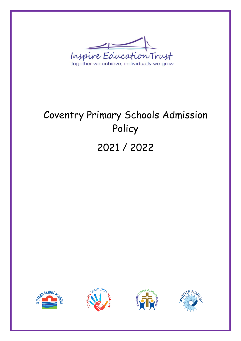

# Coventry Primary Schools Admission Policy 2021 / 2022







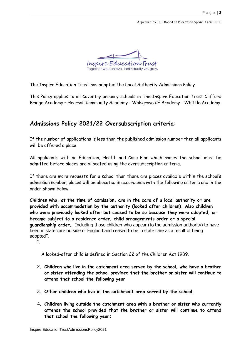

The Inspire Education Trust has adopted the Local Authority Admissions Policy.

This Policy applies to all Coventry primary schools in The Inspire Education Trust Clifford Bridge Academy – Hearsall Community Academy - Walsgrave CE Academy - Whittle Academy.

### **Admissions Policy 2021/22 Oversubscription criteria:**

If the number of applications is less than the published admission number then all applicants will be offered a place.

All applicants with an Education, Health and Care Plan which names the school must be admitted before places are allocated using the oversubscription criteria.

If there are more requests for a school than there are places available within the school's admission number, places will be allocated in accordance with the following criteria and in the order shown below.

**Children who, at the time of admission, are in the care of a local authority or are provided with accommodation by the authority (looked after children). Also children who were previously looked after but ceased to be so because they were adopted, or became subject to a residence order, child arrangements order or a special guardianship order.** Including those children who appear (to the admission authority) to have been in state care outside of England and ceased to be in state care as a result of being adopted".

1.

A looked-after child is defined in Section 22 of the Children Act 1989.

- 2. **Children who live in the catchment area served by the school, who have a brother or sister attending the school provided that the brother or sister will continue to attend that school the following year**
- 3. **Other children who live in the catchment area served by the school.**
- 4. **Children living outside the catchment area with a brother or sister who currently attends the school provided that the brother or sister will continue to attend that school the following year;**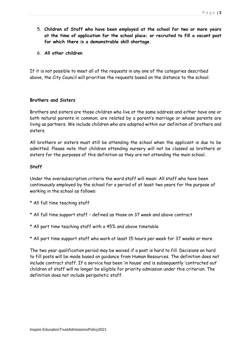- 5. **Children of Staff who have been employed at the school for two or more years at the time of application for the school place; or recruited to fill a vacant post for which there is a demonstrable skill shortage.**
- 6. **All other children**

If it is not possible to meet all of the requests in any one of the categories described above, the City Council will prioritise the requests based on the distance to the school.

#### **Brothers and Sisters**

Brothers and sisters are those children who live at the same address and either have one or both natural parents in common; are related by a parent's marriage or whose parents are living as partners. We include children who are adopted within our definition of brothers and sisters.

All brothers or sisters must still be attending the school when the applicant is due to be admitted. Please note that children attending nursery will not be classed as brothers or sisters for the purposes of this definition as they are not attending the main school.

#### **Staff**

Under the oversubscription criteria the word staff will mean: All staff who have been continuously employed by the school for a period of at least two years for the purpose of working in the school as follows:

- \* All full time teaching staff
- \* All full time support staff defined as those on 37 week and above contract
- \* All part time teaching staff with a 45% and above timetable
- \* All part time support staff who work at least 15 hours per week for 37 weeks or more

The two year qualification period may be waived if a post is hard to fill. Decisions on hard to fill posts will be made based on guidance from Human Resources. The definition does not include contract staff. If a service has been 'in house' and is subsequently 'contracted out' children of staff will no longer be eligible for priority admission under this criterion. The definition does not include peripatetic staff.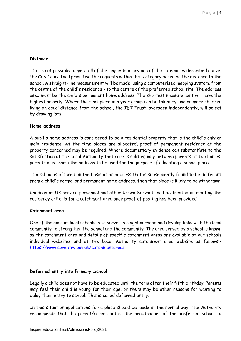#### **Distance**

If it is not possible to meet all of the requests in any one of the categories described above, the City Council will prioritise the requests within that category based on the distance to the school. A straight-line measurement will be made, using a computerised mapping system, from the centre of the child's residence - to the centre of the preferred school site. The address used must be the child's permanent home address. The shortest measurement will have the highest priority. Where the final place in a year group can be taken by two or more children living an equal distance from the school, the IET Trust, overseen independently, will select by drawing lots

#### **Home address**

A pupil's home address is considered to be a residential property that is the child's only or main residence. At the time places are allocated, proof of permanent residence at the property concerned may be required. Where documentary evidence can substantiate to the satisfaction of the Local Authority that care is split equally between parents at two homes, parents must name the address to be used for the purpose of allocating a school place

If a school is offered on the basis of an address that is subsequently found to be different from a child's normal and permanent home address, then that place is likely to be withdrawn.

Children of UK service personnel and other Crown Servants will be treated as meeting the residency criteria for a catchment area once proof of posting has been provided

#### **Catchment area**

One of the aims of local schools is to serve its neighbourhood and develop links with the local community to strengthen the school and the community. The area served by a school is known as the catchment area and details of specific catchment areas are available at our schools individual websites and at the Local Authority catchment area website as follows: <https://www.coventry.gov.uk/catchmentareas>

#### **Deferred entry into Primary School**

Legally a child does not have to be educated until the term after their fifth birthday. Parents may feel their child is young for their age, or there may be other reasons for wanting to delay their entry to school. This is called deferred entry.

In this situation applications for a place should be made in the normal way. The Authority recommends that the parent/carer contact the headteacher of the preferred school to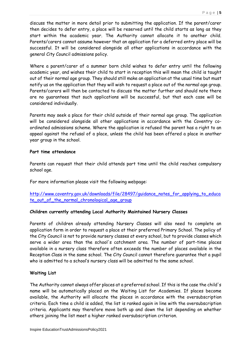discuss the matter in more detail prior to submitting the application. If the parent/carer then decides to defer entry, a place will be reserved until the child starts as long as they start within the academic year. The Authority cannot allocate it to another child. Parents/carers cannot assume however that an application for a deferred entry place will be successful. It will be considered alongside all other applications in accordance with the general City Council admissions policy.

Where a parent/carer of a summer born child wishes to defer entry until the following academic year, and wishes their child to start in reception this will mean the child is taught out of their normal age group. They should still make an application at the usual time but must notify us on the application that they will wish to request a place out of the normal age group. Parents/carers will then be contacted to discuss the matter further and should note there are no guarantees that such applications will be successful, but that each case will be considered individually.

Parents may seek a place for their child outside of their normal age group. The application will be considered alongside all other applications in accordance with the Coventry coordinated admissions scheme. Where the application is refused the parent has a right to an appeal against the refusal of a place, unless the child has been offered a place in another year group in the school.

#### **Part time attendance**

Parents can request that their child attends part time until the child reaches compulsory school age.

For more information please visit the following webpage:

[http://www.coventry.gov.uk/downloads/file/28497/guidance\\_notes\\_for\\_applying\\_to\\_educa](http://www.coventry.gov.uk/downloads/file/28497/guidance_notes_for_applying_to_educate_out_of_the_normal_chronological_age_group) [te\\_out\\_of\\_the\\_normal\\_chronological\\_age\\_group](http://www.coventry.gov.uk/downloads/file/28497/guidance_notes_for_applying_to_educate_out_of_the_normal_chronological_age_group)

#### **Children currently attending Local Authority Maintained Nursery Classes**

Parents of children already attending Nursery Classes will also need to complete an application form in order to request a place at their preferred Primary School. The policy of the City Council is not to provide nursery classes at every school, but to provide classes which serve a wider area than the school's catchment area. The number of part-time places available in a nursery class therefore often exceeds the number of places available in the Reception Class in the same school. The City Council cannot therefore guarantee that a pupil who is admitted to a school's nursery class will be admitted to the same school.

#### **Waiting List**

The Authority cannot always offer places at a preferred school. If this is the case the child's name will be automatically placed on the Waiting List for Academies. If places become available, the Authority will allocate the places in accordance with the oversubscription criteria. Each time a child is added, the list is ranked again in line with the oversubscription criteria. Applicants may therefore move both up and down the list depending on whether others joining the list meet a higher ranked oversubscription criterion.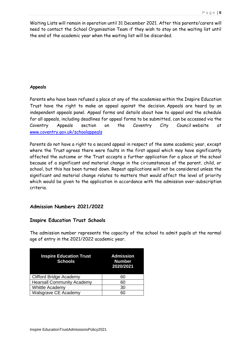Waiting Lists will remain in operation until 31 December 2021. After this parents/carers will need to contact the School Organisation Team if they wish to stay on the waiting list until the end of the academic year when the waiting list will be discarded.

#### **Appeals**

Parents who have been refused a place at any of the academies within the Inspire Education Trust have the right to make an appeal against the decision. Appeals are heard by an independent appeals panel. Appeal forms and details about how to appeal and the schedule for all appeals, including deadlines for appeal forms to be submitted, can be accessed via the Coventry Appeals section on the Coventry City Council website at [www.coventry.gov.uk/schoolappeals](http://www.coventry.gov.uk/schoolappeals)

Parents do not have a right to a second appeal in respect of the same academic year, except where the Trust agrees there were faults in the first appeal which may have significantly affected the outcome or the Trust accepts a further application for a place at the school because of a significant and material change in the circumstances of the parent, child, or school, but this has been turned down. Repeat applications will not be considered unless the significant and material change relates to matters that would affect the level of priority which would be given to the application in accordance with the admission over-subscription criteria.

#### **Admission Numbers 2021/2022**

#### **Inspire Education Trust Schools**

The admission number represents the capacity of the school to admit pupils at the normal age of entry in the 2021/2022 academic year.

| <b>Inspire Education Trust</b><br><b>Schools</b> | <b>Admission</b><br><b>Number</b><br>2020/2021 |
|--------------------------------------------------|------------------------------------------------|
| <b>Clifford Bridge Academy</b>                   | 60                                             |
| <b>Hearsall Community Academy</b>                | 60                                             |
| Whittle Academy                                  | 30                                             |
| Walsgrave CE Academy                             | 60                                             |